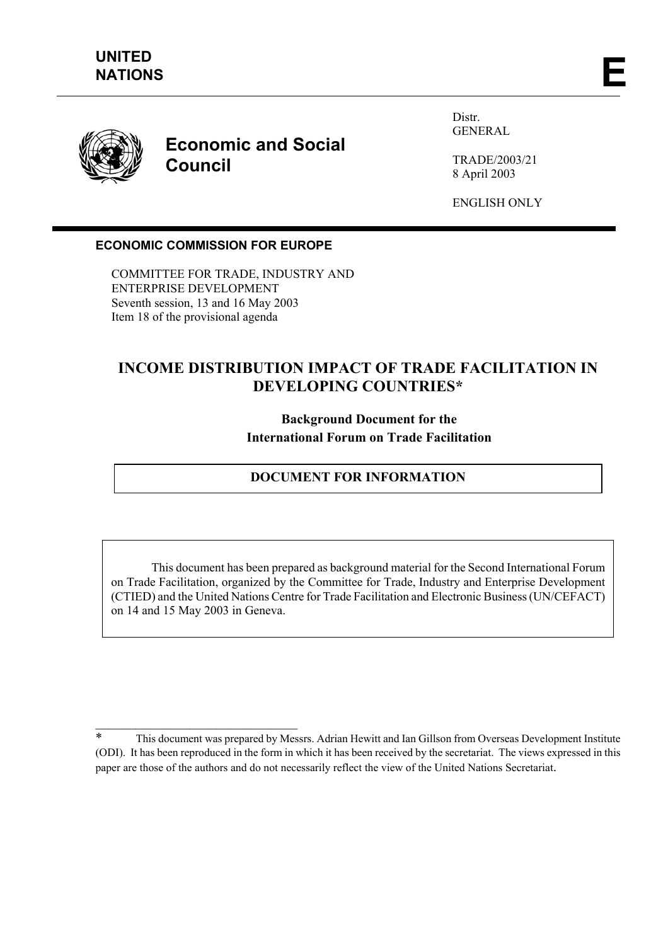

# **Economic and Social Council** TRADE/2003/21

Distr. GENERAL

8 April 2003

ENGLISH ONLY

## **ECONOMIC COMMISSION FOR EUROPE**

 $\overline{\phantom{a}}$  , where  $\overline{\phantom{a}}$  , where  $\overline{\phantom{a}}$  , where  $\overline{\phantom{a}}$ 

COMMITTEE FOR TRADE, INDUSTRY AND ENTERPRISE DEVELOPMENT Seventh session, 13 and 16 May 2003 Item 18 of the provisional agenda

# **INCOME DISTRIBUTION IMPACT OF TRADE FACILITATION IN DEVELOPING COUNTRIES\***

**Background Document for the International Forum on Trade Facilitation**

## **DOCUMENT FOR INFORMATION**

This document has been prepared as background material for the Second International Forum on Trade Facilitation, organized by the Committee for Trade, Industry and Enterprise Development (CTIED) and the United Nations Centre for Trade Facilitation and Electronic Business (UN/CEFACT) on 14 and 15 May 2003 in Geneva.

This document was prepared by Messrs. Adrian Hewitt and Ian Gillson from Overseas Development Institute (ODI). It has been reproduced in the form in which it has been received by the secretariat. The views expressed in this paper are those of the authors and do not necessarily reflect the view of the United Nations Secretariat.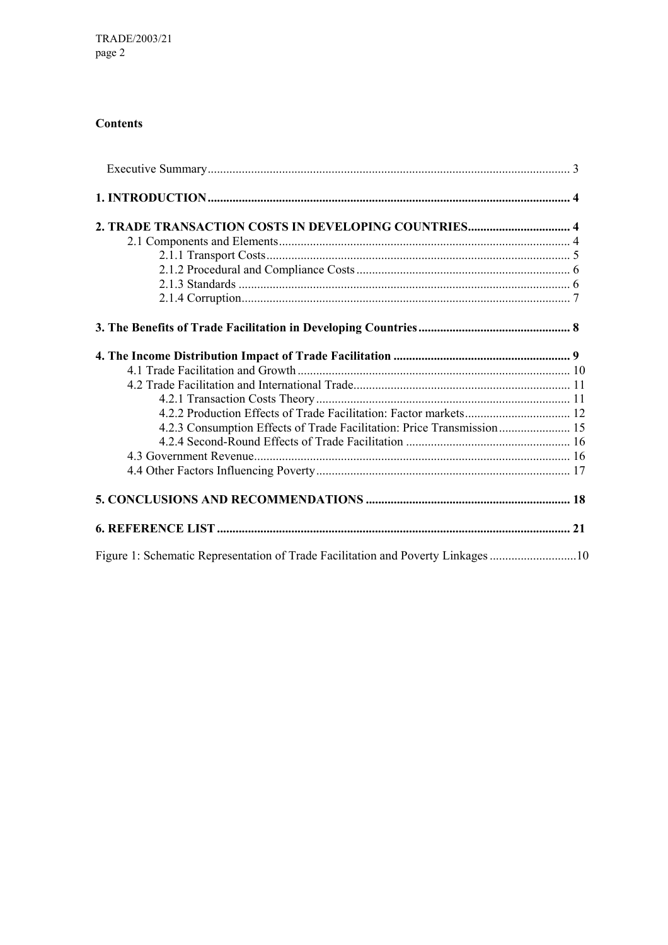#### **Contents**

| 2. TRADE TRANSACTION COSTS IN DEVELOPING COUNTRIES 4                             |  |
|----------------------------------------------------------------------------------|--|
|                                                                                  |  |
|                                                                                  |  |
|                                                                                  |  |
|                                                                                  |  |
|                                                                                  |  |
|                                                                                  |  |
|                                                                                  |  |
|                                                                                  |  |
|                                                                                  |  |
|                                                                                  |  |
|                                                                                  |  |
| 4.2.3 Consumption Effects of Trade Facilitation: Price Transmission 15           |  |
|                                                                                  |  |
|                                                                                  |  |
|                                                                                  |  |
|                                                                                  |  |
|                                                                                  |  |
| Figure 1: Schematic Representation of Trade Facilitation and Poverty Linkages 10 |  |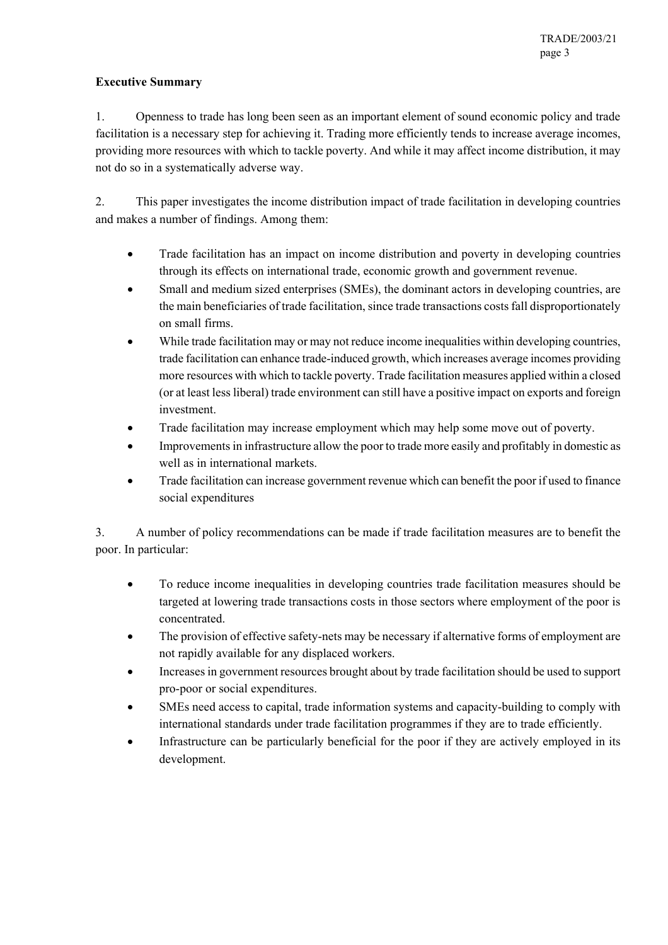## <span id="page-2-0"></span>**Executive Summary**

1. Openness to trade has long been seen as an important element of sound economic policy and trade facilitation is a necessary step for achieving it. Trading more efficiently tends to increase average incomes, providing more resources with which to tackle poverty. And while it may affect income distribution, it may not do so in a systematically adverse way.

2. This paper investigates the income distribution impact of trade facilitation in developing countries and makes a number of findings. Among them:

- Trade facilitation has an impact on income distribution and poverty in developing countries through its effects on international trade, economic growth and government revenue.
- Small and medium sized enterprises (SMEs), the dominant actors in developing countries, are the main beneficiaries of trade facilitation, since trade transactions costs fall disproportionately on small firms.
- While trade facilitation may or may not reduce income inequalities within developing countries, trade facilitation can enhance trade-induced growth, which increases average incomes providing more resources with which to tackle poverty. Trade facilitation measures applied within a closed (or at least less liberal) trade environment can still have a positive impact on exports and foreign investment.
- Trade facilitation may increase employment which may help some move out of poverty.
- Improvements in infrastructure allow the poor to trade more easily and profitably in domestic as well as in international markets.
- Trade facilitation can increase government revenue which can benefit the poor if used to finance social expenditures

3. A number of policy recommendations can be made if trade facilitation measures are to benefit the poor. In particular:

- To reduce income inequalities in developing countries trade facilitation measures should be targeted at lowering trade transactions costs in those sectors where employment of the poor is concentrated.
- The provision of effective safety-nets may be necessary if alternative forms of employment are not rapidly available for any displaced workers.
- Increases in government resources brought about by trade facilitation should be used to support pro-poor or social expenditures.
- SMEs need access to capital, trade information systems and capacity-building to comply with international standards under trade facilitation programmes if they are to trade efficiently.
- Infrastructure can be particularly beneficial for the poor if they are actively employed in its development.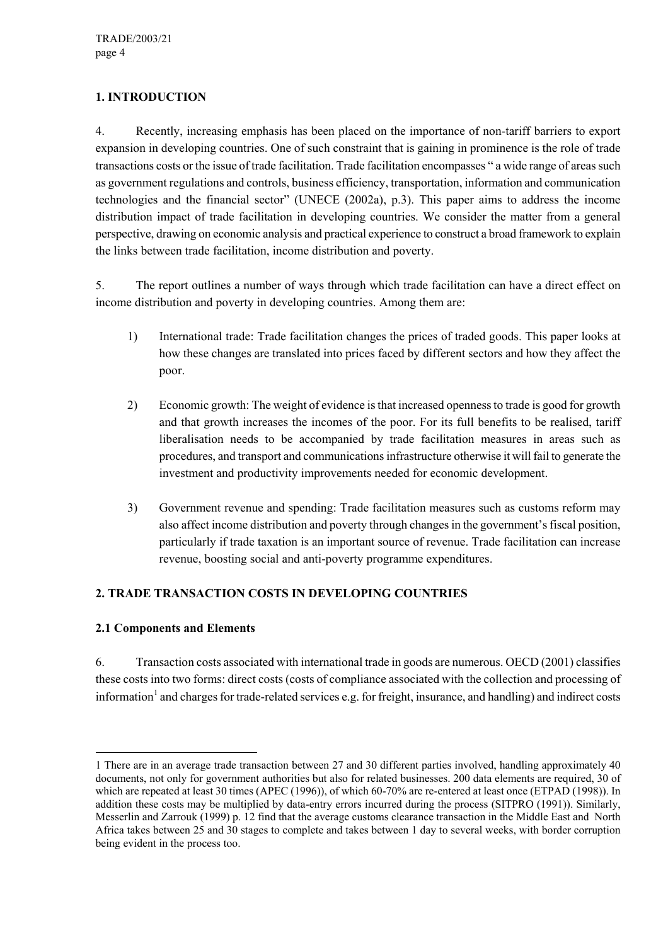## <span id="page-3-0"></span>**1. INTRODUCTION**

4. Recently, increasing emphasis has been placed on the importance of non-tariff barriers to export expansion in developing countries. One of such constraint that is gaining in prominence is the role of trade transactions costs or the issue of trade facilitation. Trade facilitation encompasses " a wide range of areas such as government regulations and controls, business efficiency, transportation, information and communication technologies and the financial sector" (UNECE (2002a), p.3). This paper aims to address the income distribution impact of trade facilitation in developing countries. We consider the matter from a general perspective, drawing on economic analysis and practical experience to construct a broad framework to explain the links between trade facilitation, income distribution and poverty.

5. The report outlines a number of ways through which trade facilitation can have a direct effect on income distribution and poverty in developing countries. Among them are:

- 1) International trade: Trade facilitation changes the prices of traded goods. This paper looks at how these changes are translated into prices faced by different sectors and how they affect the poor.
- 2) Economic growth: The weight of evidence is that increased openness to trade is good for growth and that growth increases the incomes of the poor. For its full benefits to be realised, tariff liberalisation needs to be accompanied by trade facilitation measures in areas such as procedures, and transport and communications infrastructure otherwise it will fail to generate the investment and productivity improvements needed for economic development.
- 3) Government revenue and spending: Trade facilitation measures such as customs reform may also affect income distribution and poverty through changes in the government's fiscal position, particularly if trade taxation is an important source of revenue. Trade facilitation can increase revenue, boosting social and anti-poverty programme expenditures.

## **2. TRADE TRANSACTION COSTS IN DEVELOPING COUNTRIES**

#### **2.1 Components and Elements**

 $\overline{a}$ 

6. Transaction costs associated with international trade in goods are numerous. OECD (2001) classifies these costs into two forms: direct costs (costs of compliance associated with the collection and processing of information<sup>[1](#page-3-1)</sup> and charges for trade-related services e.g. for freight, insurance, and handling) and indirect costs

<span id="page-3-1"></span><sup>1</sup> There are in an average trade transaction between 27 and 30 different parties involved, handling approximately 40 documents, not only for government authorities but also for related businesses. 200 data elements are required, 30 of which are repeated at least 30 times (APEC (1996)), of which 60-70% are re-entered at least once (ETPAD (1998)). In addition these costs may be multiplied by data-entry errors incurred during the process (SITPRO (1991)). Similarly, Messerlin and Zarrouk (1999) p. 12 find that the average customs clearance transaction in the Middle East and North Africa takes between 25 and 30 stages to complete and takes between 1 day to several weeks, with border corruption being evident in the process too.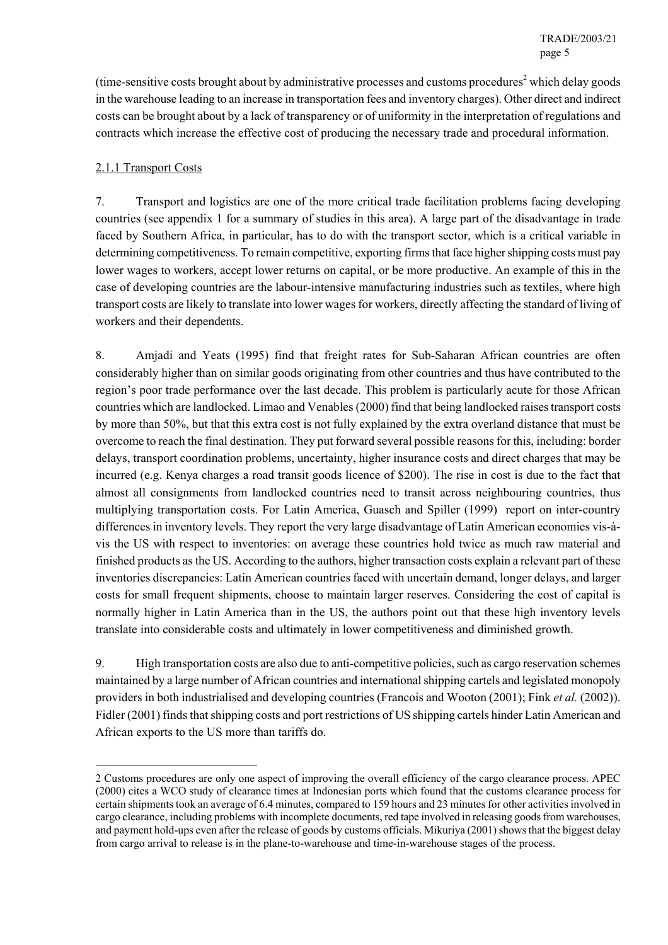<span id="page-4-0"></span>(time-sensitive costs brought about by administrative processes and customs procedures<sup>[2](#page-4-1)</sup> which delay goods in the warehouse leading to an increase in transportation fees and inventory charges). Other direct and indirect costs can be brought about by a lack of transparency or of uniformity in the interpretation of regulations and contracts which increase the effective cost of producing the necessary trade and procedural information.

#### 2.1.1 Transport Costs

 $\overline{a}$ 

7. Transport and logistics are one of the more critical trade facilitation problems facing developing countries (see appendix 1 for a summary of studies in this area). A large part of the disadvantage in trade faced by Southern Africa, in particular, has to do with the transport sector, which is a critical variable in determining competitiveness. To remain competitive, exporting firms that face higher shipping costs must pay lower wages to workers, accept lower returns on capital, or be more productive. An example of this in the case of developing countries are the labour-intensive manufacturing industries such as textiles, where high transport costs are likely to translate into lower wages for workers, directly affecting the standard of living of workers and their dependents.

8. Amjadi and Yeats (1995) find that freight rates for Sub-Saharan African countries are often considerably higher than on similar goods originating from other countries and thus have contributed to the region's poor trade performance over the last decade. This problem is particularly acute for those African countries which are landlocked. Limao and Venables (2000) find that being landlocked raisestransport costs by more than 50%, but that this extra cost is not fully explained by the extra overland distance that must be overcome to reach the final destination. They put forward several possible reasons for this, including: border delays, transport coordination problems, uncertainty, higher insurance costs and direct charges that may be incurred (e.g. Kenya charges a road transit goods licence of \$200). The rise in cost is due to the fact that almost all consignments from landlocked countries need to transit across neighbouring countries, thus multiplying transportation costs. For Latin America, Guasch and Spiller (1999) report on inter-country differences in inventory levels. They report the very large disadvantage of Latin American economies vis-àvis the US with respect to inventories: on average these countries hold twice as much raw material and finished products as the US. According to the authors, higher transaction costs explain a relevant part of these inventories discrepancies: Latin American countries faced with uncertain demand, longer delays, and larger costs for small frequent shipments, choose to maintain larger reserves. Considering the cost of capital is normally higher in Latin America than in the US, the authors point out that these high inventory levels translate into considerable costs and ultimately in lower competitiveness and diminished growth.

9. High transportation costs are also due to anti-competitive policies, such as cargo reservation schemes maintained by a large number of African countries and international shipping cartels and legislated monopoly providers in both industrialised and developing countries (Francois and Wooton (2001); Fink *et al.* (2002)). Fidler (2001) finds that shipping costs and port restrictions of US shipping cartels hinder Latin American and African exports to the US more than tariffs do.

<span id="page-4-1"></span><sup>2</sup> Customs procedures are only one aspect of improving the overall efficiency of the cargo clearance process. APEC (2000) cites a WCO study of clearance times at Indonesian ports which found that the customs clearance process for certain shipments took an average of 6.4 minutes, compared to 159 hours and 23 minutes for other activities involved in cargo clearance, including problems with incomplete documents, red tape involved in releasing goods from warehouses, and payment hold-ups even after the release of goods by customs officials. Mikuriya (2001) shows that the biggest delay from cargo arrival to release is in the plane-to-warehouse and time-in-warehouse stages of the process.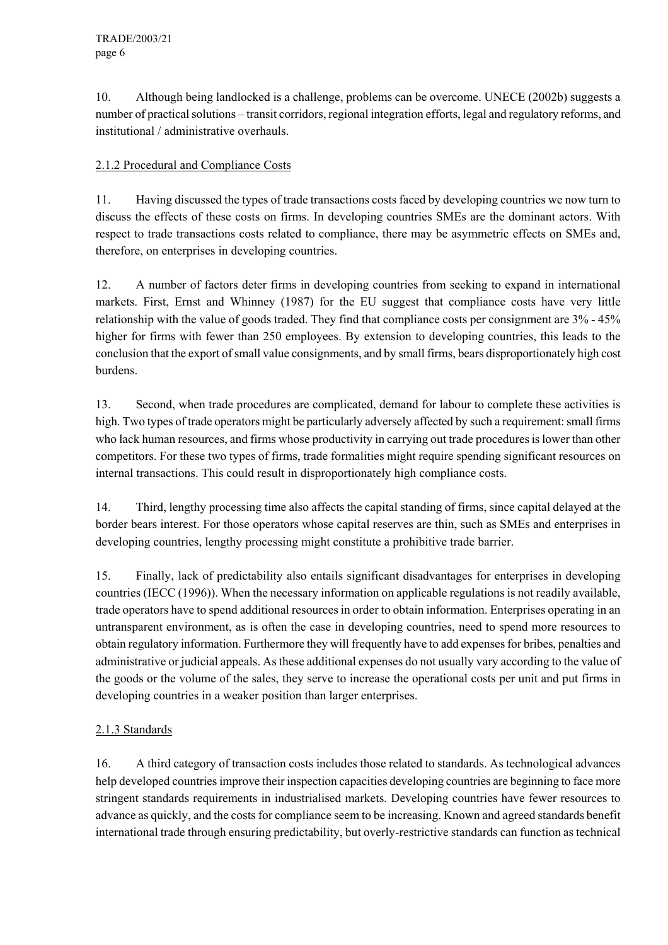<span id="page-5-0"></span>10. Although being landlocked is a challenge, problems can be overcome. UNECE (2002b) suggests a number of practical solutions – transit corridors, regional integration efforts, legal and regulatory reforms, and institutional / administrative overhauls.

# 2.1.2 Procedural and Compliance Costs

11. Having discussed the types of trade transactions costs faced by developing countries we now turn to discuss the effects of these costs on firms. In developing countries SMEs are the dominant actors. With respect to trade transactions costs related to compliance, there may be asymmetric effects on SMEs and, therefore, on enterprises in developing countries.

12. A number of factors deter firms in developing countries from seeking to expand in international markets. First, Ernst and Whinney (1987) for the EU suggest that compliance costs have very little relationship with the value of goods traded. They find that compliance costs per consignment are 3% - 45% higher for firms with fewer than 250 employees. By extension to developing countries, this leads to the conclusion that the export of small value consignments, and by small firms, bears disproportionately high cost burdens.

13. Second, when trade procedures are complicated, demand for labour to complete these activities is high. Two types of trade operators might be particularly adversely affected by such a requirement: small firms who lack human resources, and firms whose productivity in carrying out trade procedures is lower than other competitors. For these two types of firms, trade formalities might require spending significant resources on internal transactions. This could result in disproportionately high compliance costs.

14. Third, lengthy processing time also affects the capital standing of firms, since capital delayed at the border bears interest. For those operators whose capital reserves are thin, such as SMEs and enterprises in developing countries, lengthy processing might constitute a prohibitive trade barrier.

15. Finally, lack of predictability also entails significant disadvantages for enterprises in developing countries (IECC (1996)). When the necessary information on applicable regulations is not readily available, trade operators have to spend additional resources in order to obtain information. Enterprises operating in an untransparent environment, as is often the case in developing countries, need to spend more resources to obtain regulatory information. Furthermore they will frequently have to add expenses for bribes, penalties and administrative or judicial appeals. As these additional expenses do not usually vary according to the value of the goods or the volume of the sales, they serve to increase the operational costs per unit and put firms in developing countries in a weaker position than larger enterprises.

# 2.1.3 Standards

16. A third category of transaction costs includes those related to standards. As technological advances help developed countries improve their inspection capacities developing countries are beginning to face more stringent standards requirements in industrialised markets. Developing countries have fewer resources to advance as quickly, and the costs for compliance seem to be increasing. Known and agreed standards benefit international trade through ensuring predictability, but overly-restrictive standards can function as technical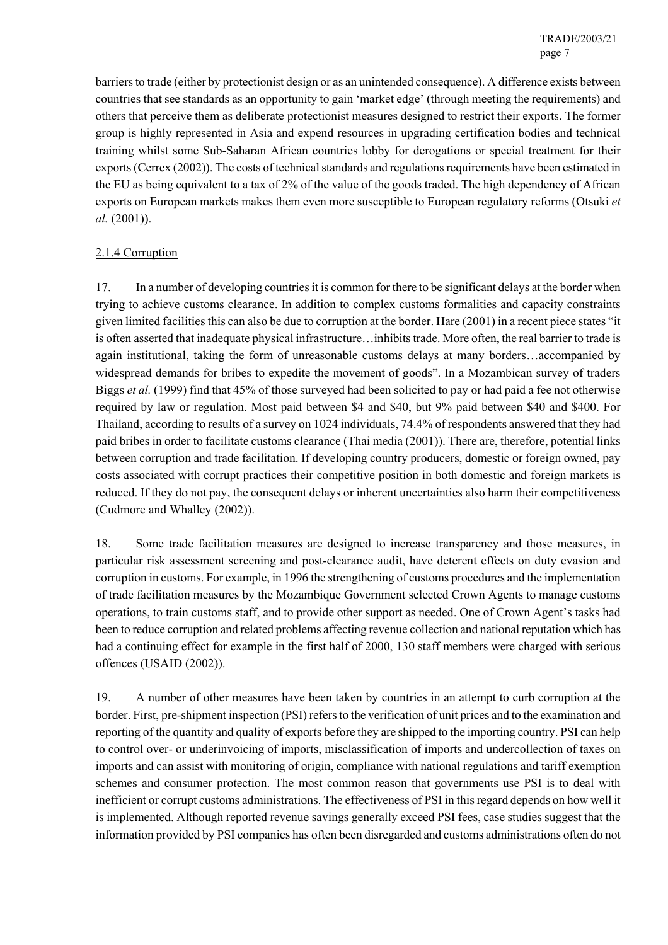<span id="page-6-0"></span>barriers to trade (either by protectionist design or as an unintended consequence). A difference exists between countries that see standards as an opportunity to gain 'market edge' (through meeting the requirements) and others that perceive them as deliberate protectionist measures designed to restrict their exports. The former group is highly represented in Asia and expend resources in upgrading certification bodies and technical training whilst some Sub-Saharan African countries lobby for derogations or special treatment for their exports (Cerrex (2002)). The costs of technical standards and regulations requirements have been estimated in the EU as being equivalent to a tax of 2% of the value of the goods traded. The high dependency of African exports on European markets makes them even more susceptible to European regulatory reforms (Otsuki *et al.* (2001)).

## 2.1.4 Corruption

17. In a number of developing countries it is common for there to be significant delays at the border when trying to achieve customs clearance. In addition to complex customs formalities and capacity constraints given limited facilities this can also be due to corruption at the border. Hare (2001) in a recent piece states "it is often asserted that inadequate physical infrastructure…inhibits trade. More often, the real barrier to trade is again institutional, taking the form of unreasonable customs delays at many borders…accompanied by widespread demands for bribes to expedite the movement of goods". In a Mozambican survey of traders Biggs *et al.* (1999) find that 45% of those surveyed had been solicited to pay or had paid a fee not otherwise required by law or regulation. Most paid between \$4 and \$40, but 9% paid between \$40 and \$400. For Thailand, according to results of a survey on 1024 individuals, 74.4% of respondents answered that they had paid bribes in order to facilitate customs clearance (Thai media (2001)). There are, therefore, potential links between corruption and trade facilitation. If developing country producers, domestic or foreign owned, pay costs associated with corrupt practices their competitive position in both domestic and foreign markets is reduced. If they do not pay, the consequent delays or inherent uncertainties also harm their competitiveness (Cudmore and Whalley (2002)).

18. Some trade facilitation measures are designed to increase transparency and those measures, in particular risk assessment screening and post-clearance audit, have deterent effects on duty evasion and corruption in customs. For example, in 1996 the strengthening of customs procedures and the implementation of trade facilitation measures by the Mozambique Government selected Crown Agents to manage customs operations, to train customs staff, and to provide other support as needed. One of Crown Agent's tasks had been to reduce corruption and related problems affecting revenue collection and national reputation which has had a continuing effect for example in the first half of 2000, 130 staff members were charged with serious offences (USAID (2002)).

19. A number of other measures have been taken by countries in an attempt to curb corruption at the border. First, pre-shipment inspection (PSI) refers to the verification of unit prices and to the examination and reporting of the quantity and quality of exports before they are shipped to the importing country. PSI can help to control over- or underinvoicing of imports, misclassification of imports and undercollection of taxes on imports and can assist with monitoring of origin, compliance with national regulations and tariff exemption schemes and consumer protection. The most common reason that governments use PSI is to deal with inefficient or corrupt customs administrations. The effectiveness of PSI in this regard depends on how well it is implemented. Although reported revenue savings generally exceed PSI fees, case studies suggest that the information provided by PSI companies has often been disregarded and customs administrations often do not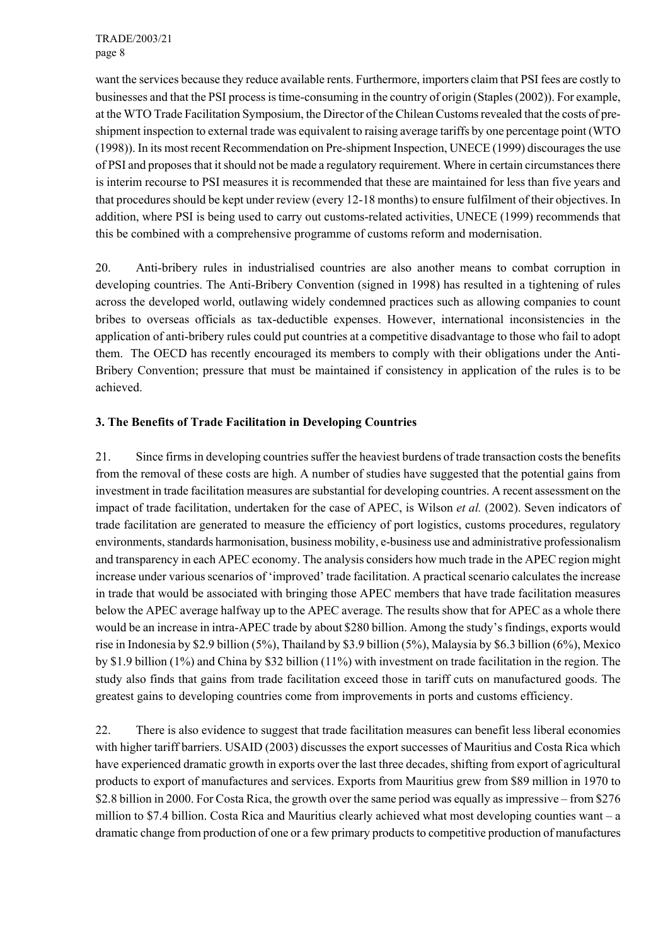<span id="page-7-0"></span>want the services because they reduce available rents. Furthermore, importers claim that PSI fees are costly to businesses and that the PSI process is time-consuming in the country of origin (Staples (2002)). For example, at the WTO Trade Facilitation Symposium, the Director of the Chilean Customs revealed that the costs of preshipment inspection to external trade was equivalent to raising average tariffs by one percentage point (WTO (1998)). In its most recent Recommendation on Pre-shipment Inspection, UNECE (1999) discourages the use of PSI and proposes that it should not be made a regulatory requirement. Where in certain circumstances there is interim recourse to PSI measures it is recommended that these are maintained for less than five years and that procedures should be kept under review (every 12-18 months) to ensure fulfilment of their objectives. In addition, where PSI is being used to carry out customs-related activities, UNECE (1999) recommends that this be combined with a comprehensive programme of customs reform and modernisation.

20. Anti-bribery rules in industrialised countries are also another means to combat corruption in developing countries. The Anti-Bribery Convention (signed in 1998) has resulted in a tightening of rules across the developed world, outlawing widely condemned practices such as allowing companies to count bribes to overseas officials as tax-deductible expenses. However, international inconsistencies in the application of anti-bribery rules could put countries at a competitive disadvantage to those who fail to adopt them. The OECD has recently encouraged its members to comply with their obligations under the Anti-Bribery Convention; pressure that must be maintained if consistency in application of the rules is to be achieved.

## **3. The Benefits of Trade Facilitation in Developing Countries**

21. Since firms in developing countries suffer the heaviest burdens of trade transaction costs the benefits from the removal of these costs are high. A number of studies have suggested that the potential gains from investment in trade facilitation measures are substantial for developing countries. A recent assessment on the impact of trade facilitation, undertaken for the case of APEC, is Wilson *et al.* (2002). Seven indicators of trade facilitation are generated to measure the efficiency of port logistics, customs procedures, regulatory environments, standards harmonisation, business mobility, e-business use and administrative professionalism and transparency in each APEC economy. The analysis considers how much trade in the APEC region might increase under various scenarios of 'improved' trade facilitation. A practical scenario calculates the increase in trade that would be associated with bringing those APEC members that have trade facilitation measures below the APEC average halfway up to the APEC average. The results show that for APEC as a whole there would be an increase in intra-APEC trade by about \$280 billion. Among the study's findings, exports would rise in Indonesia by \$2.9 billion (5%), Thailand by \$3.9 billion (5%), Malaysia by \$6.3 billion (6%), Mexico by \$1.9 billion (1%) and China by \$32 billion (11%) with investment on trade facilitation in the region. The study also finds that gains from trade facilitation exceed those in tariff cuts on manufactured goods. The greatest gains to developing countries come from improvements in ports and customs efficiency.

22. There is also evidence to suggest that trade facilitation measures can benefit less liberal economies with higher tariff barriers. USAID (2003) discusses the export successes of Mauritius and Costa Rica which have experienced dramatic growth in exports over the last three decades, shifting from export of agricultural products to export of manufactures and services. Exports from Mauritius grew from \$89 million in 1970 to \$2.8 billion in 2000. For Costa Rica, the growth over the same period was equally as impressive – from \$276 million to \$7.4 billion. Costa Rica and Mauritius clearly achieved what most developing counties want – a dramatic change from production of one or a few primary products to competitive production of manufactures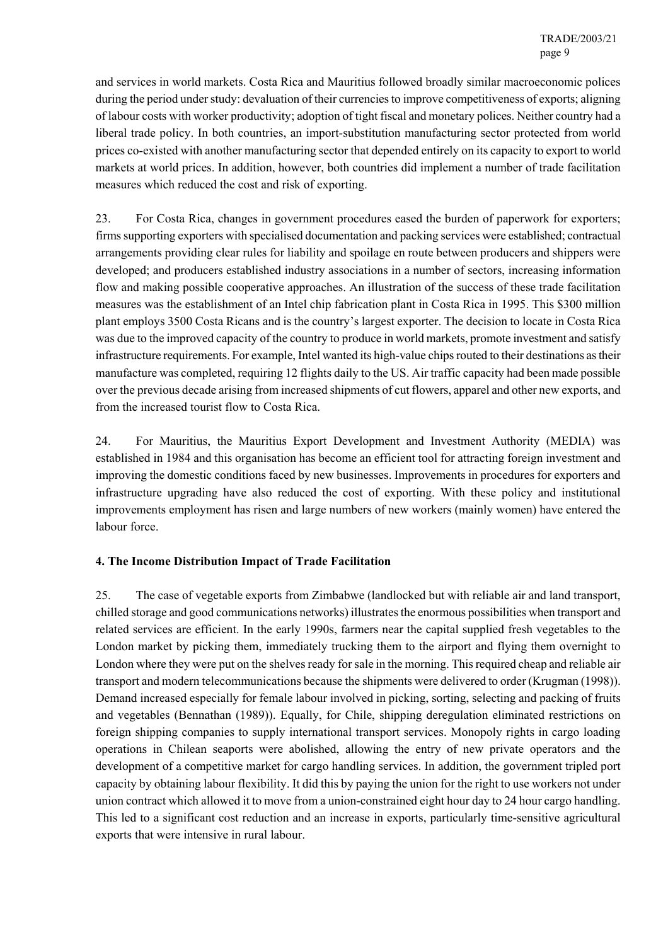<span id="page-8-0"></span>and services in world markets. Costa Rica and Mauritius followed broadly similar macroeconomic polices during the period under study: devaluation of their currencies to improve competitiveness of exports; aligning of labour costs with worker productivity; adoption of tight fiscal and monetary polices. Neither country had a liberal trade policy. In both countries, an import-substitution manufacturing sector protected from world prices co-existed with another manufacturing sector that depended entirely on its capacity to export to world markets at world prices. In addition, however, both countries did implement a number of trade facilitation measures which reduced the cost and risk of exporting.

23. For Costa Rica, changes in government procedures eased the burden of paperwork for exporters; firms supporting exporters with specialised documentation and packing services were established; contractual arrangements providing clear rules for liability and spoilage en route between producers and shippers were developed; and producers established industry associations in a number of sectors, increasing information flow and making possible cooperative approaches. An illustration of the success of these trade facilitation measures was the establishment of an Intel chip fabrication plant in Costa Rica in 1995. This \$300 million plant employs 3500 Costa Ricans and is the country's largest exporter. The decision to locate in Costa Rica was due to the improved capacity of the country to produce in world markets, promote investment and satisfy infrastructure requirements. For example, Intel wanted its high-value chips routed to their destinations astheir manufacture was completed, requiring 12 flights daily to the US. Air traffic capacity had been made possible over the previous decade arising from increased shipments of cut flowers, apparel and other new exports, and from the increased tourist flow to Costa Rica.

24. For Mauritius, the Mauritius Export Development and Investment Authority (MEDIA) was established in 1984 and this organisation has become an efficient tool for attracting foreign investment and improving the domestic conditions faced by new businesses. Improvements in procedures for exporters and infrastructure upgrading have also reduced the cost of exporting. With these policy and institutional improvements employment has risen and large numbers of new workers (mainly women) have entered the labour force.

## **4. The Income Distribution Impact of Trade Facilitation**

25. The case of vegetable exports from Zimbabwe (landlocked but with reliable air and land transport, chilled storage and good communications networks) illustrates the enormous possibilities when transport and related services are efficient. In the early 1990s, farmers near the capital supplied fresh vegetables to the London market by picking them, immediately trucking them to the airport and flying them overnight to London where they were put on the shelves ready for sale in the morning. Thisrequired cheap and reliable air transport and modern telecommunications because the shipments were delivered to order (Krugman (1998)). Demand increased especially for female labour involved in picking, sorting, selecting and packing of fruits and vegetables (Bennathan (1989)). Equally, for Chile, shipping deregulation eliminated restrictions on foreign shipping companies to supply international transport services. Monopoly rights in cargo loading operations in Chilean seaports were abolished, allowing the entry of new private operators and the development of a competitive market for cargo handling services. In addition, the government tripled port capacity by obtaining labour flexibility. It did this by paying the union for the right to use workers not under union contract which allowed it to move from a union-constrained eight hour day to 24 hour cargo handling. This led to a significant cost reduction and an increase in exports, particularly time-sensitive agricultural exports that were intensive in rural labour.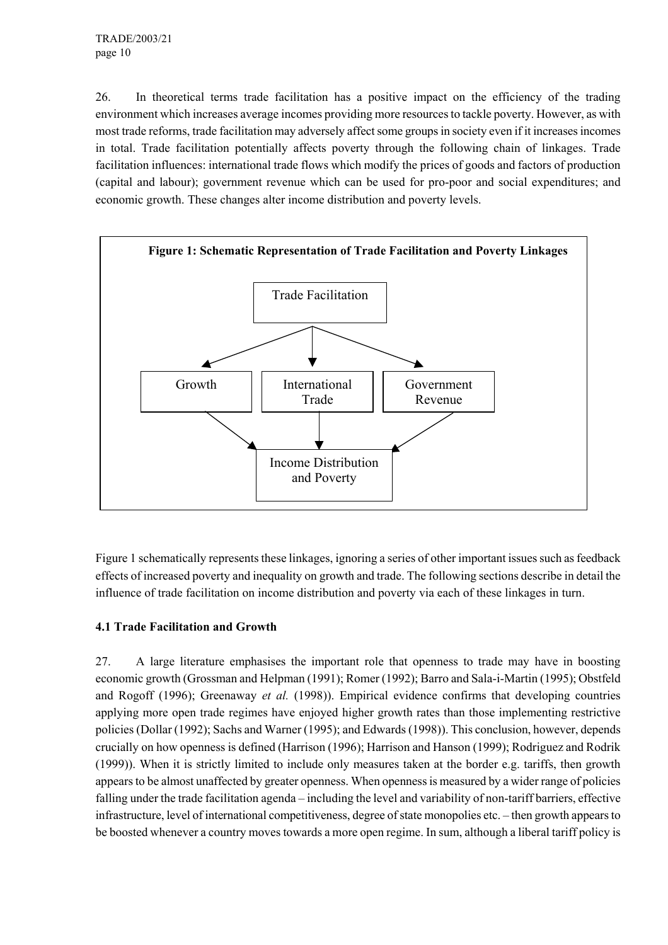<span id="page-9-0"></span>26. In theoretical terms trade facilitation has a positive impact on the efficiency of the trading environment which increases average incomes providing more resources to tackle poverty. However, as with most trade reforms, trade facilitation may adversely affect some groups in society even if it increases incomes in total. Trade facilitation potentially affects poverty through the following chain of linkages. Trade facilitation influences: international trade flows which modify the prices of goods and factors of production (capital and labour); government revenue which can be used for pro-poor and social expenditures; and economic growth. These changes alter income distribution and poverty levels.



Figure 1 schematically represents these linkages, ignoring a series of other important issues such as feedback effects of increased poverty and inequality on growth and trade. The following sections describe in detail the influence of trade facilitation on income distribution and poverty via each of these linkages in turn.

# **4.1 Trade Facilitation and Growth**

27. A large literature emphasises the important role that openness to trade may have in boosting economic growth (Grossman and Helpman (1991); Romer (1992); Barro and Sala-i-Martin (1995); Obstfeld and Rogoff (1996); Greenaway *et al.* (1998)). Empirical evidence confirms that developing countries applying more open trade regimes have enjoyed higher growth rates than those implementing restrictive policies (Dollar (1992); Sachs and Warner (1995); and Edwards (1998)). This conclusion, however, depends crucially on how openness is defined (Harrison (1996); Harrison and Hanson (1999); Rodriguez and Rodrik (1999)). When it is strictly limited to include only measures taken at the border e.g. tariffs, then growth appears to be almost unaffected by greater openness. When openness is measured by a wider range of policies falling under the trade facilitation agenda – including the level and variability of non-tariff barriers, effective infrastructure, level of international competitiveness, degree of state monopolies etc. – then growth appears to be boosted whenever a country moves towards a more open regime. In sum, although a liberal tariff policy is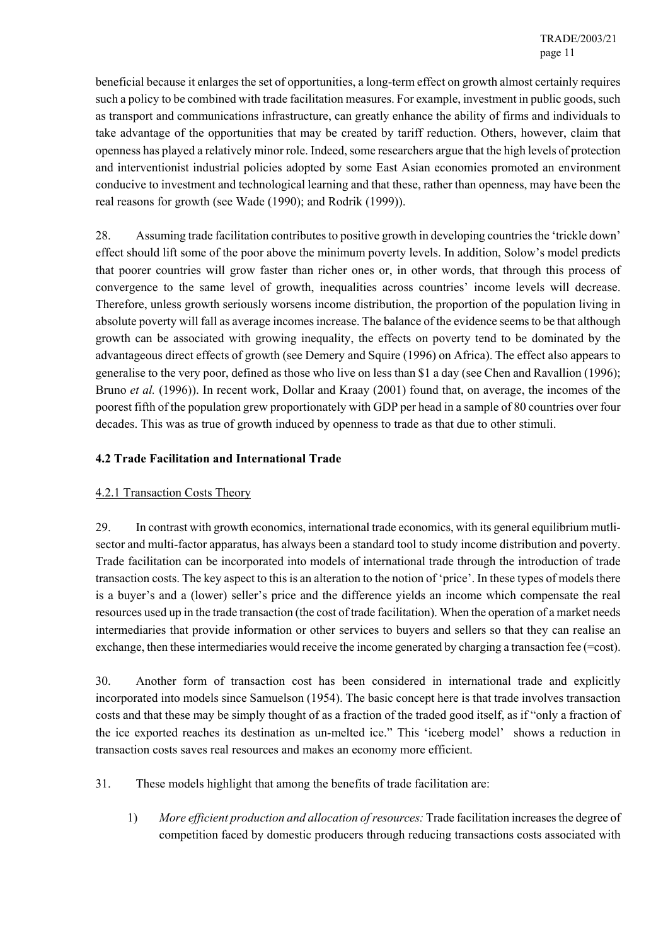<span id="page-10-0"></span>beneficial because it enlarges the set of opportunities, a long-term effect on growth almost certainly requires such a policy to be combined with trade facilitation measures. For example, investment in public goods, such as transport and communications infrastructure, can greatly enhance the ability of firms and individuals to take advantage of the opportunities that may be created by tariff reduction. Others, however, claim that openness has played a relatively minor role. Indeed, some researchers argue that the high levels of protection and interventionist industrial policies adopted by some East Asian economies promoted an environment conducive to investment and technological learning and that these, rather than openness, may have been the real reasons for growth (see Wade (1990); and Rodrik (1999)).

28. Assuming trade facilitation contributes to positive growth in developing countries the 'trickle down' effect should lift some of the poor above the minimum poverty levels. In addition, Solow's model predicts that poorer countries will grow faster than richer ones or, in other words, that through this process of convergence to the same level of growth, inequalities across countries' income levels will decrease. Therefore, unless growth seriously worsens income distribution, the proportion of the population living in absolute poverty will fall as average incomes increase. The balance of the evidence seems to be that although growth can be associated with growing inequality, the effects on poverty tend to be dominated by the advantageous direct effects of growth (see Demery and Squire (1996) on Africa). The effect also appears to generalise to the very poor, defined as those who live on less than \$1 a day (see Chen and Ravallion (1996); Bruno *et al.* (1996)). In recent work, Dollar and Kraay (2001) found that, on average, the incomes of the poorest fifth of the population grew proportionately with GDP per head in a sample of 80 countries over four decades. This was as true of growth induced by openness to trade as that due to other stimuli.

## **4.2 Trade Facilitation and International Trade**

#### 4.2.1 Transaction Costs Theory

29. In contrast with growth economics, international trade economics, with its general equilibrium mutlisector and multi-factor apparatus, has always been a standard tool to study income distribution and poverty. Trade facilitation can be incorporated into models of international trade through the introduction of trade transaction costs. The key aspect to this is an alteration to the notion of 'price'. In these types of modelsthere is a buyer's and a (lower) seller's price and the difference yields an income which compensate the real resources used up in the trade transaction (the cost of trade facilitation). When the operation of a market needs intermediaries that provide information or other services to buyers and sellers so that they can realise an exchange, then these intermediaries would receive the income generated by charging a transaction fee (=cost).

30. Another form of transaction cost has been considered in international trade and explicitly incorporated into models since Samuelson (1954). The basic concept here is that trade involves transaction costs and that these may be simply thought of as a fraction of the traded good itself, as if "only a fraction of the ice exported reaches its destination as un-melted ice." This 'iceberg model' shows a reduction in transaction costs saves real resources and makes an economy more efficient.

31. These models highlight that among the benefits of trade facilitation are:

1) *More efficient production and allocation of resources:* Trade facilitation increases the degree of competition faced by domestic producers through reducing transactions costs associated with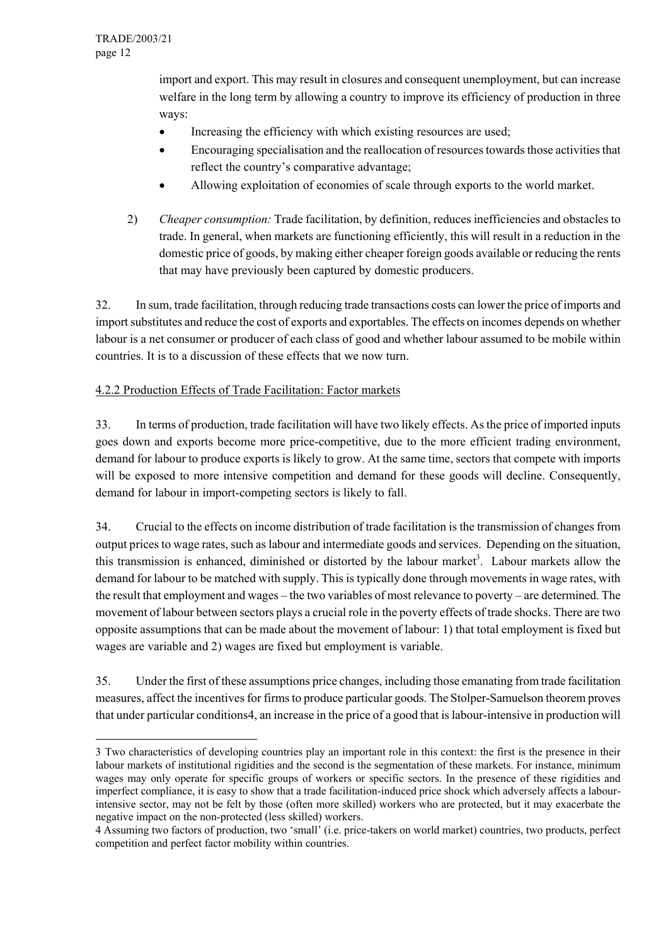$\overline{a}$ 

<span id="page-11-0"></span>import and export. This may result in closures and consequent unemployment, but can increase welfare in the long term by allowing a country to improve its efficiency of production in three ways:

- Increasing the efficiency with which existing resources are used;
- Encouraging specialisation and the reallocation of resources towards those activities that reflect the country's comparative advantage;
- Allowing exploitation of economies of scale through exports to the world market.
- 2) *Cheaper consumption:* Trade facilitation, by definition, reduces inefficiencies and obstacles to trade. In general, when markets are functioning efficiently, this will result in a reduction in the domestic price of goods, by making either cheaper foreign goods available or reducing the rents that may have previously been captured by domestic producers.

32. In sum, trade facilitation, through reducing trade transactions costs can lower the price of imports and import substitutes and reduce the cost of exports and exportables. The effects on incomes depends on whether labour is a net consumer or producer of each class of good and whether labour assumed to be mobile within countries. It is to a discussion of these effects that we now turn.

# 4.2.2 Production Effects of Trade Facilitation: Factor markets

33. In terms of production, trade facilitation will have two likely effects. As the price of imported inputs goes down and exports become more price-competitive, due to the more efficient trading environment, demand for labour to produce exports is likely to grow. At the same time, sectors that compete with imports will be exposed to more intensive competition and demand for these goods will decline. Consequently, demand for labour in import-competing sectors is likely to fall.

34. Crucial to the effects on income distribution of trade facilitation is the transmission of changes from output prices to wage rates, such as labour and intermediate goods and services. Depending on the situation, this transmission is enhanced, diminished or distorted by the labour market<sup>3</sup>. Labour markets allow the demand for labour to be matched with supply. This is typically done through movements in wage rates, with the result that employment and wages – the two variables of most relevance to poverty – are determined. The movement of labour between sectors plays a crucial role in the poverty effects of trade shocks. There are two opposite assumptions that can be made about the movement of labour: 1) that total employment is fixed but wages are variable and 2) wages are fixed but employment is variable.

35. Under the first of these assumptions price changes, including those emanating from trade facilitation measures, affect the incentives for firms to produce particular goods. The Stolper-Samuelson theorem proves that under particular conditions[4,](#page-11-2) an increase in the price of a good that is labour-intensive in production will

<span id="page-11-1"></span><sup>3</sup> Two characteristics of developing countries play an important role in this context: the first is the presence in their labour markets of institutional rigidities and the second is the segmentation of these markets. For instance, minimum wages may only operate for specific groups of workers or specific sectors. In the presence of these rigidities and imperfect compliance, it is easy to show that a trade facilitation-induced price shock which adversely affects a labourintensive sector, may not be felt by those (often more skilled) workers who are protected, but it may exacerbate the negative impact on the non-protected (less skilled) workers.

<span id="page-11-2"></span><sup>4</sup> Assuming two factors of production, two 'small' (i.e. price-takers on world market) countries, two products, perfect competition and perfect factor mobility within countries.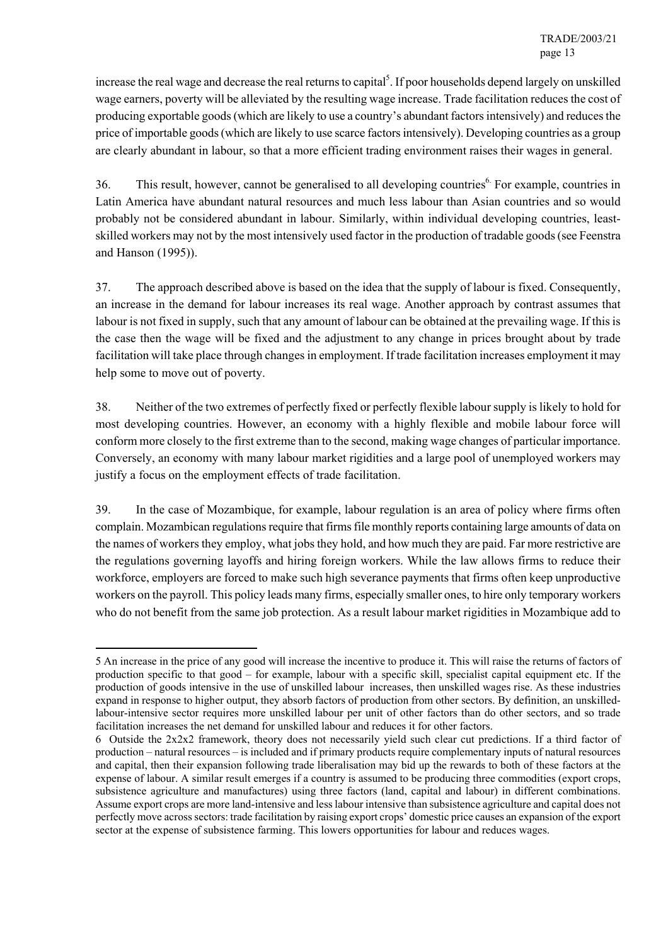increase the real wage and decrease the real returns to capital<sup>5</sup>[.](#page-12-0) If poor households depend largely on unskilled wage earners, poverty will be alleviated by the resulting wage increase. Trade facilitation reduces the cost of producing exportable goods (which are likely to use a country's abundant factors intensively) and reduces the price of importable goods (which are likely to use scarce factors intensively). Developing countries as a group are clearly abundant in labour, so that a more efficient trading environment raises their wages in general.

36. This result, however, cannot be generalised to all developing countries<sup>6</sup>. For example, countries in Latin America have abundant natural resources and much less labour than Asian countries and so would probably not be considered abundant in labour. Similarly, within individual developing countries, leastskilled workers may not by the most intensively used factor in the production of tradable goods(see Feenstra and Hanson (1995)).

37. The approach described above is based on the idea that the supply of labour is fixed. Consequently, an increase in the demand for labour increases its real wage. Another approach by contrast assumes that labour is not fixed in supply, such that any amount of labour can be obtained at the prevailing wage. If this is the case then the wage will be fixed and the adjustment to any change in prices brought about by trade facilitation will take place through changes in employment. If trade facilitation increases employment it may help some to move out of poverty.

38. Neither of the two extremes of perfectly fixed or perfectly flexible labour supply is likely to hold for most developing countries. However, an economy with a highly flexible and mobile labour force will conform more closely to the first extreme than to the second, making wage changes of particular importance. Conversely, an economy with many labour market rigidities and a large pool of unemployed workers may justify a focus on the employment effects of trade facilitation.

39. In the case of Mozambique, for example, labour regulation is an area of policy where firms often complain. Mozambican regulations require that firms file monthly reports containing large amounts of data on the names of workers they employ, what jobs they hold, and how much they are paid. Far more restrictive are the regulations governing layoffs and hiring foreign workers. While the law allows firms to reduce their workforce, employers are forced to make such high severance payments that firms often keep unproductive workers on the payroll. This policy leads many firms, especially smaller ones, to hire only temporary workers who do not benefit from the same job protection. As a result labour market rigidities in Mozambique add to

<span id="page-12-0"></span> $\overline{a}$ 5 An increase in the price of any good will increase the incentive to produce it. This will raise the returns of factors of production specific to that good – for example, labour with a specific skill, specialist capital equipment etc. If the production of goods intensive in the use of unskilled labour increases, then unskilled wages rise. As these industries expand in response to higher output, they absorb factors of production from other sectors. By definition, an unskilledlabour-intensive sector requires more unskilled labour per unit of other factors than do other sectors, and so trade facilitation increases the net demand for unskilled labour and reduces it for other factors.

<span id="page-12-1"></span><sup>6</sup> Outside the 2x2x2 framework, theory does not necessarily yield such clear cut predictions. If a third factor of production – natural resources – is included and if primary products require complementary inputs of natural resources and capital, then their expansion following trade liberalisation may bid up the rewards to both of these factors at the expense of labour. A similar result emerges if a country is assumed to be producing three commodities (export crops, subsistence agriculture and manufactures) using three factors (land, capital and labour) in different combinations. Assume export crops are more land-intensive and less labour intensive than subsistence agriculture and capital does not perfectly move across sectors: trade facilitation by raising export crops' domestic price causes an expansion of the export sector at the expense of subsistence farming. This lowers opportunities for labour and reduces wages.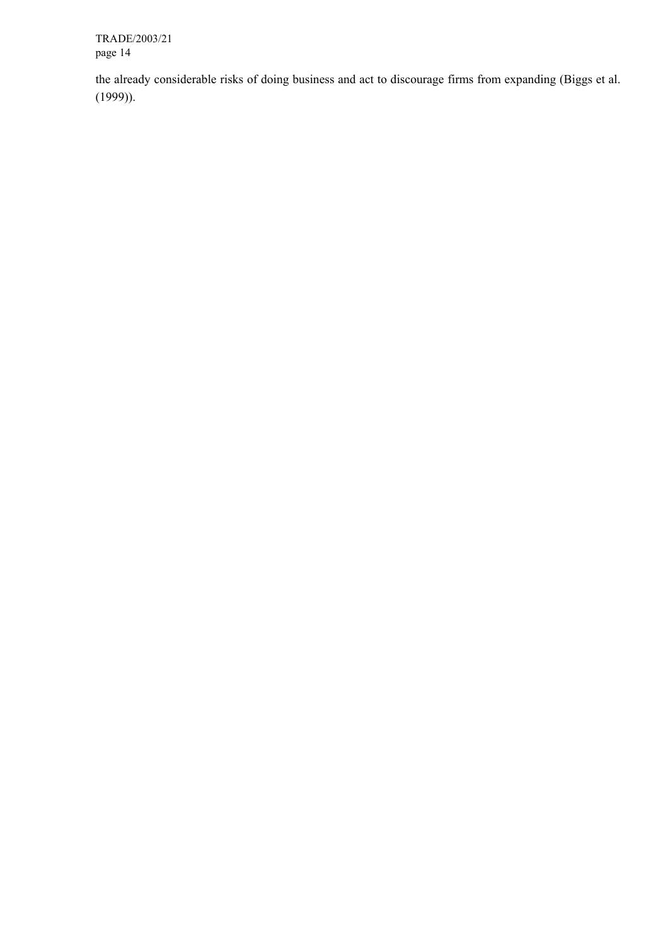TRADE/2003/21 page 14

the already considerable risks of doing business and act to discourage firms from expanding (Biggs et al. (1999)).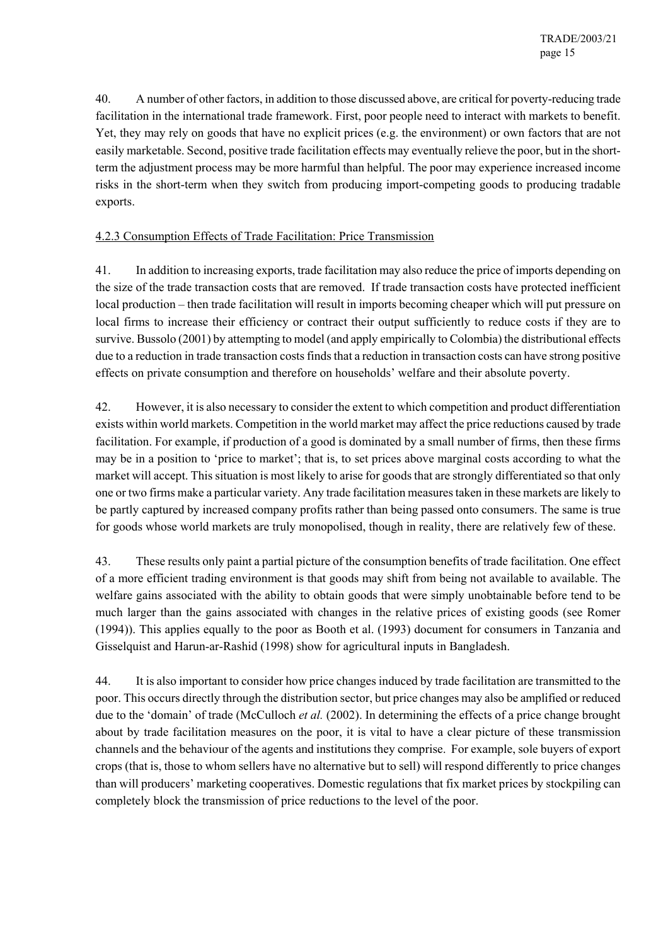<span id="page-14-0"></span>40. A number of other factors, in addition to those discussed above, are critical for poverty-reducing trade facilitation in the international trade framework. First, poor people need to interact with markets to benefit. Yet, they may rely on goods that have no explicit prices (e.g. the environment) or own factors that are not easily marketable. Second, positive trade facilitation effects may eventually relieve the poor, but in the shortterm the adjustment process may be more harmful than helpful. The poor may experience increased income risks in the short-term when they switch from producing import-competing goods to producing tradable exports.

#### 4.2.3 Consumption Effects of Trade Facilitation: Price Transmission

41. In addition to increasing exports, trade facilitation may also reduce the price of imports depending on the size of the trade transaction costs that are removed. If trade transaction costs have protected inefficient local production – then trade facilitation will result in imports becoming cheaper which will put pressure on local firms to increase their efficiency or contract their output sufficiently to reduce costs if they are to survive. Bussolo (2001) by attempting to model (and apply empirically to Colombia) the distributional effects due to a reduction in trade transaction costs finds that a reduction in transaction costs can have strong positive effects on private consumption and therefore on households' welfare and their absolute poverty.

42. However, it is also necessary to consider the extent to which competition and product differentiation exists within world markets. Competition in the world market may affect the price reductions caused by trade facilitation. For example, if production of a good is dominated by a small number of firms, then these firms may be in a position to 'price to market'; that is, to set prices above marginal costs according to what the market will accept. This situation is most likely to arise for goods that are strongly differentiated so that only one or two firms make a particular variety. Any trade facilitation measures taken in these markets are likely to be partly captured by increased company profits rather than being passed onto consumers. The same is true for goods whose world markets are truly monopolised, though in reality, there are relatively few of these.

43. These results only paint a partial picture of the consumption benefits of trade facilitation. One effect of a more efficient trading environment is that goods may shift from being not available to available. The welfare gains associated with the ability to obtain goods that were simply unobtainable before tend to be much larger than the gains associated with changes in the relative prices of existing goods (see Romer (1994)). This applies equally to the poor as Booth et al. (1993) document for consumers in Tanzania and Gisselquist and Harun-ar-Rashid (1998) show for agricultural inputs in Bangladesh.

44. It is also important to consider how price changes induced by trade facilitation are transmitted to the poor. This occurs directly through the distribution sector, but price changes may also be amplified or reduced due to the 'domain' of trade (McCulloch *et al.* (2002). In determining the effects of a price change brought about by trade facilitation measures on the poor, it is vital to have a clear picture of these transmission channels and the behaviour of the agents and institutions they comprise. For example, sole buyers of export crops (that is, those to whom sellers have no alternative but to sell) will respond differently to price changes than will producers' marketing cooperatives. Domestic regulations that fix market prices by stockpiling can completely block the transmission of price reductions to the level of the poor.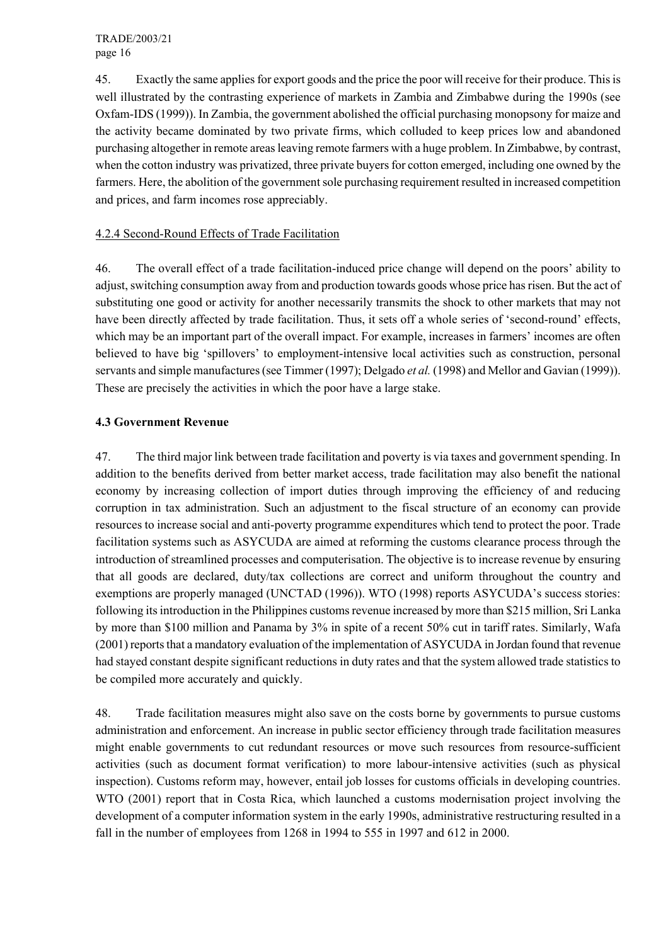<span id="page-15-0"></span>45. Exactly the same applies for export goods and the price the poor will receive for their produce. This is well illustrated by the contrasting experience of markets in Zambia and Zimbabwe during the 1990s (see Oxfam-IDS (1999)). In Zambia, the government abolished the official purchasing monopsony for maize and the activity became dominated by two private firms, which colluded to keep prices low and abandoned purchasing altogether in remote areas leaving remote farmers with a huge problem. In Zimbabwe, by contrast, when the cotton industry was privatized, three private buyers for cotton emerged, including one owned by the farmers. Here, the abolition of the government sole purchasing requirement resulted in increased competition and prices, and farm incomes rose appreciably.

## 4.2.4 Second-Round Effects of Trade Facilitation

46. The overall effect of a trade facilitation-induced price change will depend on the poors' ability to adjust, switching consumption away from and production towards goods whose price has risen. But the act of substituting one good or activity for another necessarily transmits the shock to other markets that may not have been directly affected by trade facilitation. Thus, it sets off a whole series of 'second-round' effects, which may be an important part of the overall impact. For example, increases in farmers' incomes are often believed to have big 'spillovers' to employment-intensive local activities such as construction, personal servants and simple manufactures (see Timmer (1997); Delgado *et al.* (1998) and Mellor and Gavian (1999)). These are precisely the activities in which the poor have a large stake.

## **4.3 Government Revenue**

47. The third major link between trade facilitation and poverty is via taxes and government spending. In addition to the benefits derived from better market access, trade facilitation may also benefit the national economy by increasing collection of import duties through improving the efficiency of and reducing corruption in tax administration. Such an adjustment to the fiscal structure of an economy can provide resources to increase social and anti-poverty programme expenditures which tend to protect the poor. Trade facilitation systems such as ASYCUDA are aimed at reforming the customs clearance process through the introduction of streamlined processes and computerisation. The objective is to increase revenue by ensuring that all goods are declared, duty/tax collections are correct and uniform throughout the country and exemptions are properly managed (UNCTAD (1996)). WTO (1998) reports ASYCUDA's success stories: following its introduction in the Philippines customs revenue increased by more than \$215 million, Sri Lanka by more than \$100 million and Panama by 3% in spite of a recent 50% cut in tariff rates. Similarly, Wafa (2001) reports that a mandatory evaluation of the implementation of ASYCUDA in Jordan found that revenue had stayed constant despite significant reductions in duty rates and that the system allowed trade statistics to be compiled more accurately and quickly.

48. Trade facilitation measures might also save on the costs borne by governments to pursue customs administration and enforcement. An increase in public sector efficiency through trade facilitation measures might enable governments to cut redundant resources or move such resources from resource-sufficient activities (such as document format verification) to more labour-intensive activities (such as physical inspection). Customs reform may, however, entail job losses for customs officials in developing countries. WTO (2001) report that in Costa Rica, which launched a customs modernisation project involving the development of a computer information system in the early 1990s, administrative restructuring resulted in a fall in the number of employees from 1268 in 1994 to 555 in 1997 and 612 in 2000.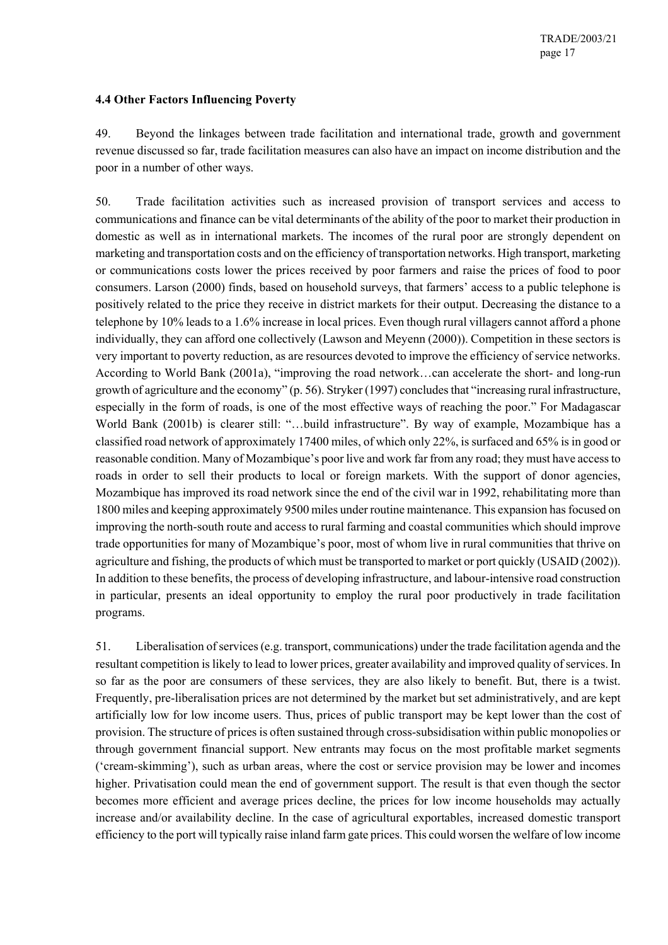#### <span id="page-16-0"></span>**4.4 Other Factors Influencing Poverty**

49. Beyond the linkages between trade facilitation and international trade, growth and government revenue discussed so far, trade facilitation measures can also have an impact on income distribution and the poor in a number of other ways.

50. Trade facilitation activities such as increased provision of transport services and access to communications and finance can be vital determinants of the ability of the poor to market their production in domestic as well as in international markets. The incomes of the rural poor are strongly dependent on marketing and transportation costs and on the efficiency of transportation networks. High transport, marketing or communications costs lower the prices received by poor farmers and raise the prices of food to poor consumers. Larson (2000) finds, based on household surveys, that farmers' access to a public telephone is positively related to the price they receive in district markets for their output. Decreasing the distance to a telephone by 10% leads to a 1.6% increase in local prices. Even though rural villagers cannot afford a phone individually, they can afford one collectively (Lawson and Meyenn (2000)). Competition in these sectors is very important to poverty reduction, as are resources devoted to improve the efficiency of service networks. According to World Bank (2001a), "improving the road network…can accelerate the short- and long-run growth of agriculture and the economy" (p. 56). Stryker (1997) concludes that "increasing rural infrastructure, especially in the form of roads, is one of the most effective ways of reaching the poor." For Madagascar World Bank (2001b) is clearer still: "…build infrastructure". By way of example, Mozambique has a classified road network of approximately 17400 miles, of which only 22%, is surfaced and 65% is in good or reasonable condition. Many of Mozambique's poor live and work far from any road; they must have access to roads in order to sell their products to local or foreign markets. With the support of donor agencies, Mozambique has improved its road network since the end of the civil war in 1992, rehabilitating more than 1800 miles and keeping approximately 9500 miles under routine maintenance. This expansion has focused on improving the north-south route and access to rural farming and coastal communities which should improve trade opportunities for many of Mozambique's poor, most of whom live in rural communities that thrive on agriculture and fishing, the products of which must be transported to market or port quickly (USAID (2002)). In addition to these benefits, the process of developing infrastructure, and labour-intensive road construction in particular, presents an ideal opportunity to employ the rural poor productively in trade facilitation programs.

51. Liberalisation of services (e.g. transport, communications) under the trade facilitation agenda and the resultant competition is likely to lead to lower prices, greater availability and improved quality of services. In so far as the poor are consumers of these services, they are also likely to benefit. But, there is a twist. Frequently, pre-liberalisation prices are not determined by the market but set administratively, and are kept artificially low for low income users. Thus, prices of public transport may be kept lower than the cost of provision. The structure of prices is often sustained through cross-subsidisation within public monopolies or through government financial support. New entrants may focus on the most profitable market segments ('cream-skimming'), such as urban areas, where the cost or service provision may be lower and incomes higher. Privatisation could mean the end of government support. The result is that even though the sector becomes more efficient and average prices decline, the prices for low income households may actually increase and/or availability decline. In the case of agricultural exportables, increased domestic transport efficiency to the port will typically raise inland farm gate prices. This could worsen the welfare of low income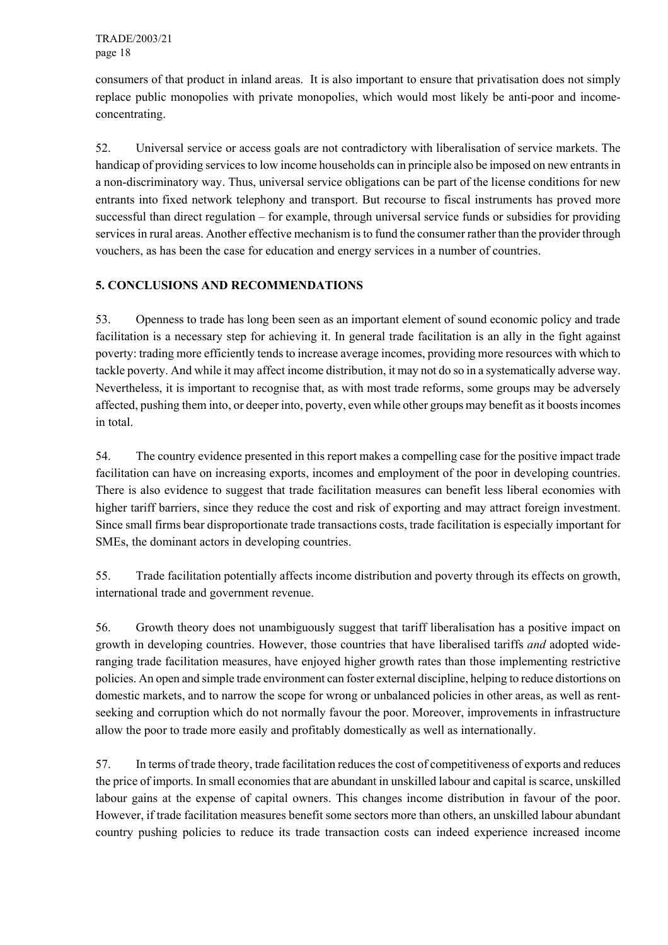<span id="page-17-0"></span>consumers of that product in inland areas. It is also important to ensure that privatisation does not simply replace public monopolies with private monopolies, which would most likely be anti-poor and incomeconcentrating.

52. Universal service or access goals are not contradictory with liberalisation of service markets. The handicap of providing services to low income households can in principle also be imposed on new entrants in a non-discriminatory way. Thus, universal service obligations can be part of the license conditions for new entrants into fixed network telephony and transport. But recourse to fiscal instruments has proved more successful than direct regulation – for example, through universal service funds or subsidies for providing services in rural areas. Another effective mechanism is to fund the consumer rather than the provider through vouchers, as has been the case for education and energy services in a number of countries.

# **5. CONCLUSIONS AND RECOMMENDATIONS**

53. Openness to trade has long been seen as an important element of sound economic policy and trade facilitation is a necessary step for achieving it. In general trade facilitation is an ally in the fight against poverty: trading more efficiently tends to increase average incomes, providing more resources with which to tackle poverty. And while it may affect income distribution, it may not do so in a systematically adverse way. Nevertheless, it is important to recognise that, as with most trade reforms, some groups may be adversely affected, pushing them into, or deeper into, poverty, even while other groups may benefit as it boosts incomes in total.

54. The country evidence presented in this report makes a compelling case for the positive impact trade facilitation can have on increasing exports, incomes and employment of the poor in developing countries. There is also evidence to suggest that trade facilitation measures can benefit less liberal economies with higher tariff barriers, since they reduce the cost and risk of exporting and may attract foreign investment. Since small firms bear disproportionate trade transactions costs, trade facilitation is especially important for SMEs, the dominant actors in developing countries.

55. Trade facilitation potentially affects income distribution and poverty through its effects on growth, international trade and government revenue.

56. Growth theory does not unambiguously suggest that tariff liberalisation has a positive impact on growth in developing countries. However, those countries that have liberalised tariffs *and* adopted wideranging trade facilitation measures, have enjoyed higher growth rates than those implementing restrictive policies. An open and simple trade environment can foster external discipline, helping to reduce distortions on domestic markets, and to narrow the scope for wrong or unbalanced policies in other areas, as well as rentseeking and corruption which do not normally favour the poor. Moreover, improvements in infrastructure allow the poor to trade more easily and profitably domestically as well as internationally.

57. In terms of trade theory, trade facilitation reduces the cost of competitiveness of exports and reduces the price of imports. In small economies that are abundant in unskilled labour and capital is scarce, unskilled labour gains at the expense of capital owners. This changes income distribution in favour of the poor. However, if trade facilitation measures benefit some sectors more than others, an unskilled labour abundant country pushing policies to reduce its trade transaction costs can indeed experience increased income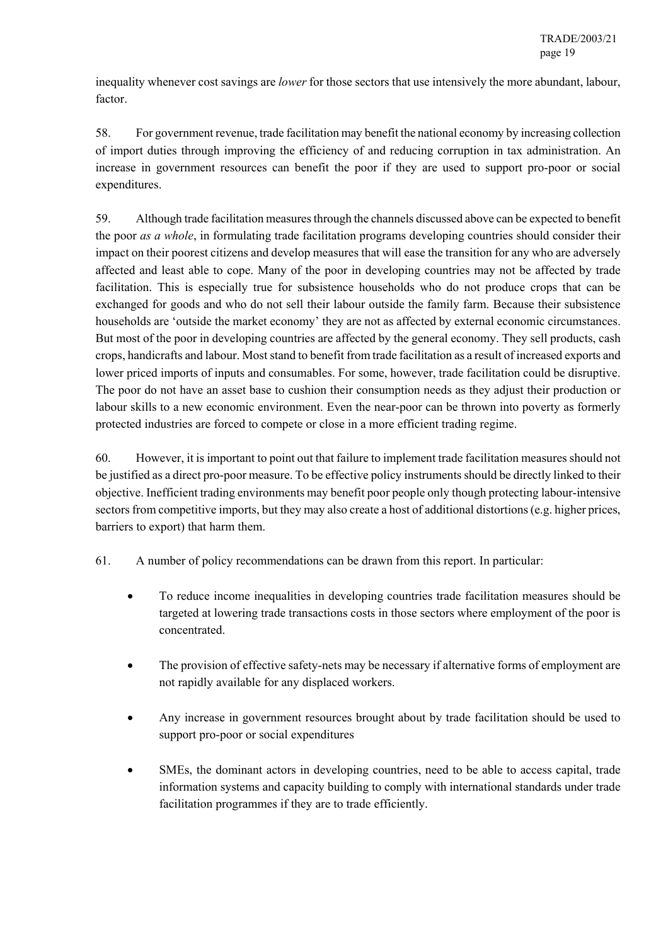inequality whenever cost savings are *lower* for those sectors that use intensively the more abundant, labour, factor.

58. For government revenue, trade facilitation may benefit the national economy by increasing collection of import duties through improving the efficiency of and reducing corruption in tax administration. An increase in government resources can benefit the poor if they are used to support pro-poor or social expenditures.

59. Although trade facilitation measures through the channels discussed above can be expected to benefit the poor *as a whole*, in formulating trade facilitation programs developing countries should consider their impact on their poorest citizens and develop measures that will ease the transition for any who are adversely affected and least able to cope. Many of the poor in developing countries may not be affected by trade facilitation. This is especially true for subsistence households who do not produce crops that can be exchanged for goods and who do not sell their labour outside the family farm. Because their subsistence households are 'outside the market economy' they are not as affected by external economic circumstances. But most of the poor in developing countries are affected by the general economy. They sell products, cash crops, handicrafts and labour. Most stand to benefit from trade facilitation as a result of increased exports and lower priced imports of inputs and consumables. For some, however, trade facilitation could be disruptive. The poor do not have an asset base to cushion their consumption needs as they adjust their production or labour skills to a new economic environment. Even the near-poor can be thrown into poverty as formerly protected industries are forced to compete or close in a more efficient trading regime.

60. However, it is important to point out that failure to implement trade facilitation measures should not be justified as a direct pro-poor measure. To be effective policy instruments should be directly linked to their objective. Inefficient trading environments may benefit poor people only though protecting labour-intensive sectors from competitive imports, but they may also create a host of additional distortions (e.g. higher prices, barriers to export) that harm them.

- 61. A number of policy recommendations can be drawn from this report. In particular:
	- To reduce income inequalities in developing countries trade facilitation measures should be targeted at lowering trade transactions costs in those sectors where employment of the poor is concentrated.
	- The provision of effective safety-nets may be necessary if alternative forms of employment are not rapidly available for any displaced workers.
	- Any increase in government resources brought about by trade facilitation should be used to support pro-poor or social expenditures
	- SMEs, the dominant actors in developing countries, need to be able to access capital, trade information systems and capacity building to comply with international standards under trade facilitation programmes if they are to trade efficiently.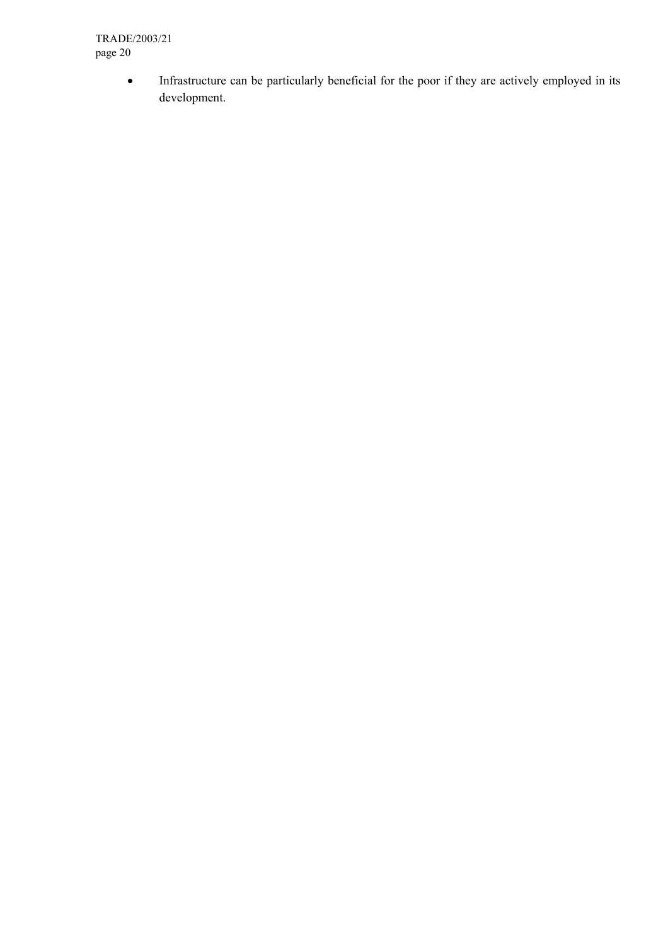TRADE/2003/21 page 20

> • Infrastructure can be particularly beneficial for the poor if they are actively employed in its development.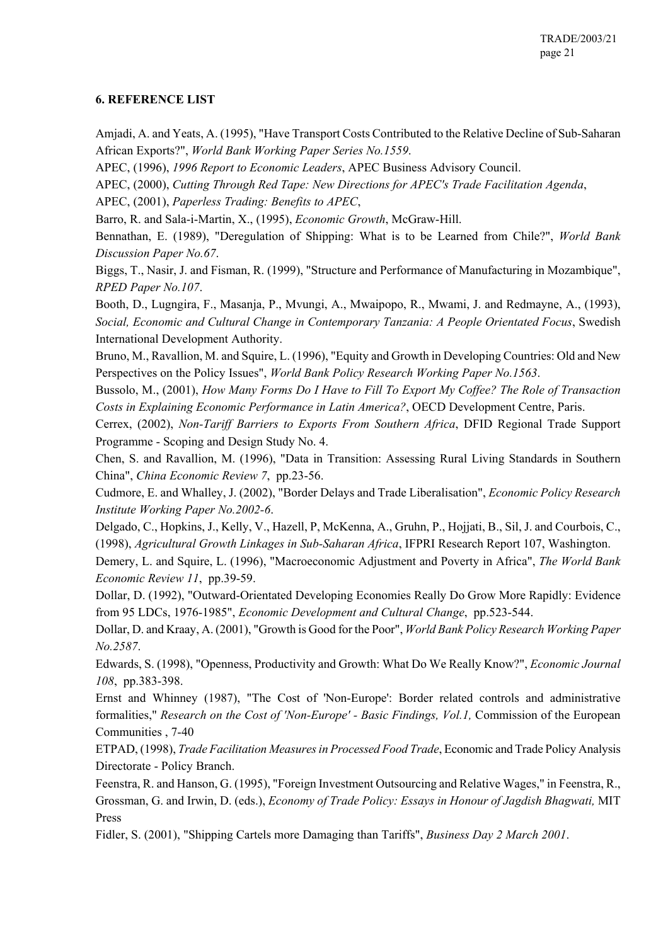#### <span id="page-20-0"></span>**6. REFERENCE LIST**

Amjadi, A. and Yeats, A. (1995), "Have Transport Costs Contributed to the Relative Decline of Sub-Saharan African Exports?", *World Bank Working Paper Series No.1559*.

APEC, (1996), *1996 Report to Economic Leaders*, APEC Business Advisory Council.

APEC, (2000), *Cutting Through Red Tape: New Directions for APEC's Trade Facilitation Agenda*,

APEC, (2001), *Paperless Trading: Benefits to APEC*,

Barro, R. and Sala-i-Martin, X., (1995), *Economic Growth*, McGraw-Hill.

Bennathan, E. (1989), "Deregulation of Shipping: What is to be Learned from Chile?", *World Bank Discussion Paper No.67*.

Biggs, T., Nasir, J. and Fisman, R. (1999), "Structure and Performance of Manufacturing in Mozambique", *RPED Paper No.107*.

Booth, D., Lugngira, F., Masanja, P., Mvungi, A., Mwaipopo, R., Mwami, J. and Redmayne, A., (1993), *Social, Economic and Cultural Change in Contemporary Tanzania: A People Orientated Focus*, Swedish International Development Authority.

Bruno, M., Ravallion, M. and Squire, L. (1996), "Equity and Growth in Developing Countries: Old and New Perspectives on the Policy Issues", *World Bank Policy Research Working Paper No.1563*.

Bussolo, M., (2001), *How Many Forms Do I Have to Fill To Export My Coffee? The Role of Transaction Costs in Explaining Economic Performance in Latin America?*, OECD Development Centre, Paris.

Cerrex, (2002), *Non-Tariff Barriers to Exports From Southern Africa*, DFID Regional Trade Support Programme - Scoping and Design Study No. 4.

Chen, S. and Ravallion, M. (1996), "Data in Transition: Assessing Rural Living Standards in Southern China", *China Economic Review 7*, pp.23-56.

Cudmore, E. and Whalley, J. (2002), "Border Delays and Trade Liberalisation", *Economic Policy Research Institute Working Paper No.2002-6*.

Delgado, C., Hopkins, J., Kelly, V., Hazell, P, McKenna, A., Gruhn, P., Hojjati, B., Sil, J. and Courbois, C., (1998), *Agricultural Growth Linkages in Sub-Saharan Africa*, IFPRI Research Report 107, Washington.

Demery, L. and Squire, L. (1996), "Macroeconomic Adjustment and Poverty in Africa", *The World Bank Economic Review 11*, pp.39-59.

Dollar, D. (1992), "Outward-Orientated Developing Economies Really Do Grow More Rapidly: Evidence from 95 LDCs, 1976-1985", *Economic Development and Cultural Change*, pp.523-544.

Dollar, D. and Kraay, A. (2001), "Growth is Good for the Poor", *World Bank Policy Research Working Paper No.2587*.

Edwards, S. (1998), "Openness, Productivity and Growth: What Do We Really Know?", *Economic Journal 108*, pp.383-398.

Ernst and Whinney (1987), "The Cost of 'Non-Europe': Border related controls and administrative formalities," *Research on the Cost of 'Non-Europe' - Basic Findings, Vol.1,* Commission of the European Communities , 7-40

ETPAD, (1998), *Trade Facilitation Measures in Processed Food Trade*, Economic and Trade Policy Analysis Directorate - Policy Branch.

Feenstra, R. and Hanson, G. (1995), "Foreign Investment Outsourcing and Relative Wages," in Feenstra, R., Grossman, G. and Irwin, D. (eds.), *Economy of Trade Policy: Essays in Honour of Jagdish Bhagwati,* MIT Press

Fidler, S. (2001), "Shipping Cartels more Damaging than Tariffs", *Business Day 2 March 2001*.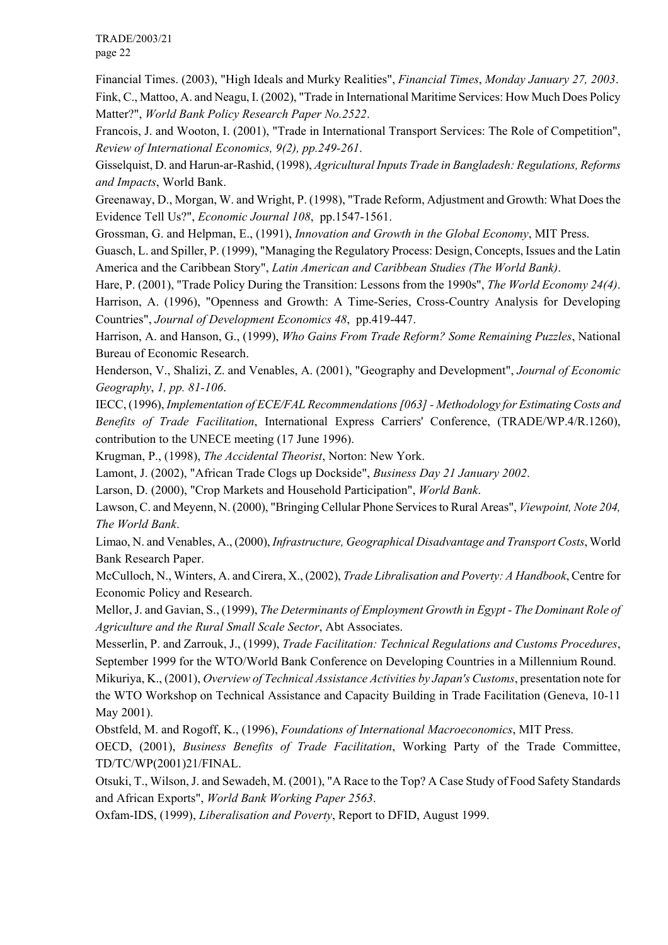TRADE/2003/21 page 22

Financial Times. (2003), "High Ideals and Murky Realities", *Financial Times*, *Monday January 27, 2003*. Fink, C., Mattoo, A. and Neagu, I. (2002), "Trade in International Maritime Services: How Much Does Policy Matter?", *World Bank Policy Research Paper No.2522*.

Francois, J. and Wooton, I. (2001), "Trade in International Transport Services: The Role of Competition", *Review of International Economics, 9(2), pp.249-261*.

Gisselquist, D. and Harun-ar-Rashid, (1998), *Agricultural Inputs Trade in Bangladesh: Regulations, Reforms and Impacts*, World Bank.

Greenaway, D., Morgan, W. and Wright, P. (1998), "Trade Reform, Adjustment and Growth: What Doesthe Evidence Tell Us?", *Economic Journal 108*, pp.1547-1561.

Grossman, G. and Helpman, E., (1991), *Innovation and Growth in the Global Economy*, MIT Press.

Guasch, L. and Spiller, P. (1999), "Managing the Regulatory Process: Design, Concepts, Issues and the Latin America and the Caribbean Story", *Latin American and Caribbean Studies (The World Bank)*.

Hare, P. (2001), "Trade Policy During the Transition: Lessons from the 1990s", *The World Economy 24(4)*. Harrison, A. (1996), "Openness and Growth: A Time-Series, Cross-Country Analysis for Developing Countries", *Journal of Development Economics 48*, pp.419-447.

Harrison, A. and Hanson, G., (1999), *Who Gains From Trade Reform? Some Remaining Puzzles*, National Bureau of Economic Research.

Henderson, V., Shalizi, Z. and Venables, A. (2001), "Geography and Development", *Journal of Economic Geography*, *1, pp. 81-106*.

IECC, (1996), *Implementation of ECE/FAL Recommendations [063] - Methodology for Estimating Costs and Benefits of Trade Facilitation*, International Express Carriers' Conference, (TRADE/WP.4/R.1260), contribution to the UNECE meeting (17 June 1996).

Krugman, P., (1998), *The Accidental Theorist*, Norton: New York.

Lamont, J. (2002), "African Trade Clogs up Dockside", *Business Day 21 January 2002*.

Larson, D. (2000), "Crop Markets and Household Participation", *World Bank*.

Lawson, C. and Meyenn, N. (2000), "Bringing Cellular Phone Services to Rural Areas", *Viewpoint, Note 204, The World Bank*.

Limao, N. and Venables, A., (2000), *Infrastructure, Geographical Disadvantage and Transport Costs*, World Bank Research Paper.

McCulloch, N., Winters, A. and Cirera, X., (2002), *Trade Libralisation and Poverty: A Handbook*, Centre for Economic Policy and Research.

Mellor, J. and Gavian, S., (1999), *The Determinants of Employment Growth in Egypt - The Dominant Role of Agriculture and the Rural Small Scale Sector*, Abt Associates.

Messerlin, P. and Zarrouk, J., (1999), *Trade Facilitation: Technical Regulations and Customs Procedures*, September 1999 for the WTO/World Bank Conference on Developing Countries in a Millennium Round.

Mikuriya, K., (2001), *Overview of Technical Assistance Activities by Japan's Customs*, presentation note for the WTO Workshop on Technical Assistance and Capacity Building in Trade Facilitation (Geneva, 10-11 May 2001).

Obstfeld, M. and Rogoff, K., (1996), *Foundations of International Macroeconomics*, MIT Press.

OECD, (2001), *Business Benefits of Trade Facilitation*, Working Party of the Trade Committee, TD/TC/WP(2001)21/FINAL.

Otsuki, T., Wilson, J. and Sewadeh, M. (2001), "A Race to the Top? A Case Study of Food Safety Standards and African Exports", *World Bank Working Paper 2563*.

Oxfam-IDS, (1999), *Liberalisation and Poverty*, Report to DFID, August 1999.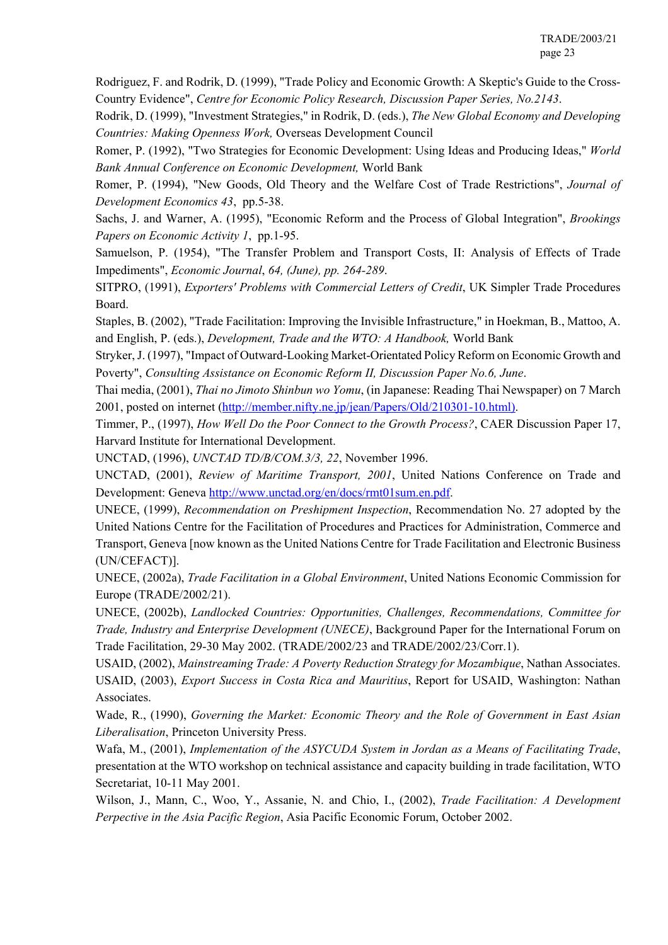Rodriguez, F. and Rodrik, D. (1999), "Trade Policy and Economic Growth: A Skeptic's Guide to the Cross-Country Evidence", *Centre for Economic Policy Research, Discussion Paper Series, No.2143*.

Rodrik, D. (1999), "Investment Strategies," in Rodrik, D. (eds.), *The New Global Economy and Developing Countries: Making Openness Work,* Overseas Development Council

Romer, P. (1992), "Two Strategies for Economic Development: Using Ideas and Producing Ideas," *World Bank Annual Conference on Economic Development,* World Bank

Romer, P. (1994), "New Goods, Old Theory and the Welfare Cost of Trade Restrictions", *Journal of Development Economics 43*, pp.5-38.

Sachs, J. and Warner, A. (1995), "Economic Reform and the Process of Global Integration", *Brookings Papers on Economic Activity 1*, pp.1-95.

Samuelson, P. (1954), "The Transfer Problem and Transport Costs, II: Analysis of Effects of Trade Impediments", *Economic Journal*, *64, (June), pp. 264-289*.

SITPRO, (1991), *Exporters' Problems with Commercial Letters of Credit*, UK Simpler Trade Procedures Board.

Staples, B. (2002), "Trade Facilitation: Improving the Invisible Infrastructure," in Hoekman, B., Mattoo, A. and English, P. (eds.), *Development, Trade and the WTO: A Handbook,* World Bank

Stryker, J. (1997), "Impact of Outward-Looking Market-Orientated Policy Reform on Economic Growth and Poverty", *Consulting Assistance on Economic Reform II, Discussion Paper No.6, June*.

Thai media, (2001), *Thai no Jimoto Shinbun wo Yomu*, (in Japanese: Reading Thai Newspaper) on 7 March 2001, posted on internet [\(http://member.nifty.ne.jp/jean/Papers/Old/210301-10.html\).](http://member.nifty.ne.jp/jean/Papers/Old/210301-10.html))

Timmer, P., (1997), *How Well Do the Poor Connect to the Growth Process?*, CAER Discussion Paper 17, Harvard Institute for International Development.

UNCTAD, (1996), *UNCTAD TD/B/COM.3/3, 22*, November 1996.

UNCTAD, (2001), *Review of Maritime Transport, 2001*, United Nations Conference on Trade and Development: Geneva [http://www.unctad.org/en/docs/rmt01sum.en.pdf.](http://www.unctad.org/en/docs/rmt01sum.en.pdf)

UNECE, (1999), *Recommendation on Preshipment Inspection*, Recommendation No. 27 adopted by the United Nations Centre for the Facilitation of Procedures and Practices for Administration, Commerce and Transport, Geneva [now known as the United Nations Centre for Trade Facilitation and Electronic Business (UN/CEFACT)].

UNECE, (2002a), *Trade Facilitation in a Global Environment*, United Nations Economic Commission for Europe (TRADE/2002/21).

UNECE, (2002b), *Landlocked Countries: Opportunities, Challenges, Recommendations, Committee for Trade, Industry and Enterprise Development (UNECE)*, Background Paper for the International Forum on Trade Facilitation, 29-30 May 2002. (TRADE/2002/23 and TRADE/2002/23/Corr.1).

USAID, (2002), *Mainstreaming Trade: A Poverty Reduction Strategy for Mozambique*, Nathan Associates. USAID, (2003), *Export Success in Costa Rica and Mauritius*, Report for USAID, Washington: Nathan Associates.

Wade, R., (1990), *Governing the Market: Economic Theory and the Role of Government in East Asian Liberalisation*, Princeton University Press.

Wafa, M., (2001), *Implementation of the ASYCUDA System in Jordan as a Means of Facilitating Trade*, presentation at the WTO workshop on technical assistance and capacity building in trade facilitation, WTO Secretariat, 10-11 May 2001.

Wilson, J., Mann, C., Woo, Y., Assanie, N. and Chio, I., (2002), *Trade Facilitation: A Development Perpective in the Asia Pacific Region*, Asia Pacific Economic Forum, October 2002.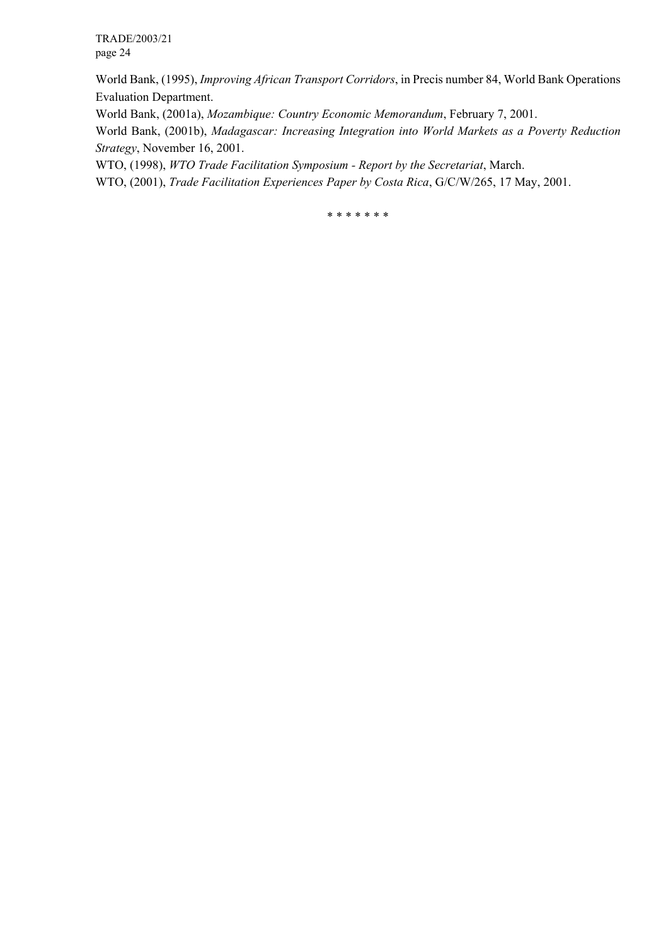TRADE/2003/21 page 24

World Bank, (1995), *Improving African Transport Corridors*, in Precis number 84, World Bank Operations Evaluation Department.

World Bank, (2001a), *Mozambique: Country Economic Memorandum*, February 7, 2001.

World Bank, (2001b), *Madagascar: Increasing Integration into World Markets as a Poverty Reduction Strategy*, November 16, 2001.

WTO, (1998), *WTO Trade Facilitation Symposium - Report by the Secretariat*, March.

WTO, (2001), *Trade Facilitation Experiences Paper by Costa Rica*, G/C/W/265, 17 May, 2001.

\* \* \* \* \* \* \*